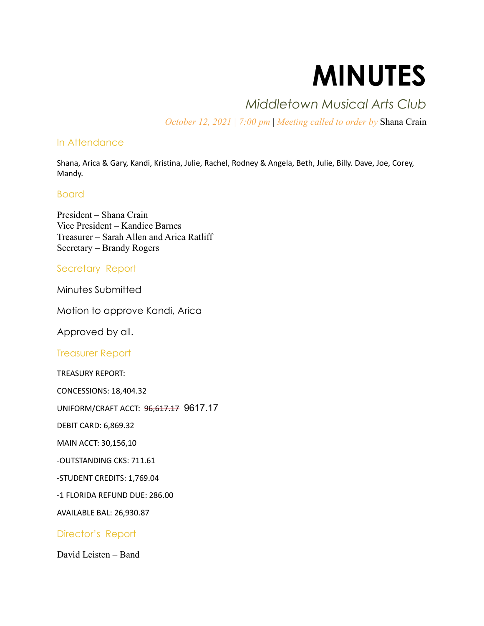# MINUTES

# Middletown Musical Arts Club

October 12, 2021 | 7:00 pm | Meeting called to order by Shana Crain

### In Attendance

Shana, Arica & Gary, Kandi, Kristina, Julie, Rachel, Rodney & Angela, Beth, Julie, Billy. Dave, Joe, Corey, Mandy.

#### Board

President – Shana Crain Vice President – Kandice Barnes Treasurer – Sarah Allen and Arica Ratliff Secretary – Brandy Rogers

## Secretary Report

Minutes Submitted

Motion to approve Kandi, Arica

Approved by all.

Treasurer Report

TREASURY REPORT:

CONCESSIONS: 18,404.32

UNIFORM/CRAFT ACCT: 96,617.17 9617.17

DEBIT CARD: 6,869.32

MAIN ACCT: 30,156,10

-OUTSTANDING CKS: 711.61

-STUDENT CREDITS: 1,769.04

-1 FLORIDA REFUND DUE: 286.00

AVAILABLE BAL: 26,930.87

Director's Report

David Leisten – Band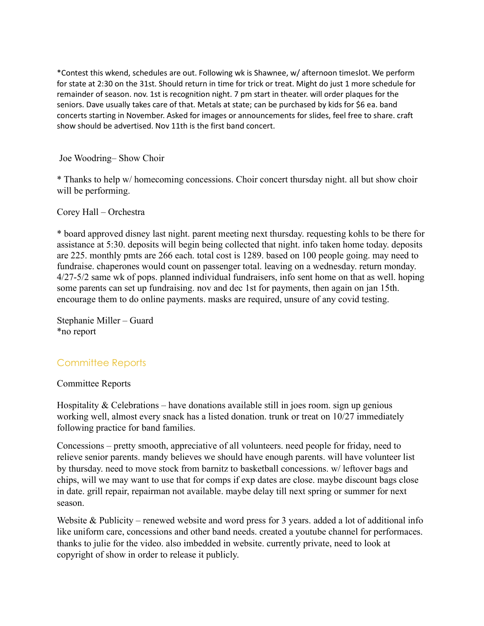\*Contest this wkend, schedules are out. Following wk is Shawnee, w/ afternoon timeslot. We perform for state at 2:30 on the 31st. Should return in time for trick or treat. Might do just 1 more schedule for remainder of season. nov. 1st is recognition night. 7 pm start in theater. will order plaques for the seniors. Dave usually takes care of that. Metals at state; can be purchased by kids for \$6 ea. band concerts starting in November. Asked for images or announcements for slides, feel free to share. craft show should be advertised. Nov 11th is the first band concert.

Joe Woodring– Show Choir

\* Thanks to help w/ homecoming concessions. Choir concert thursday night. all but show choir will be performing.

Corey Hall – Orchestra

\* board approved disney last night. parent meeting next thursday. requesting kohls to be there for assistance at 5:30. deposits will begin being collected that night. info taken home today. deposits are 225. monthly pmts are 266 each. total cost is 1289. based on 100 people going. may need to fundraise. chaperones would count on passenger total. leaving on a wednesday. return monday. 4/27-5/2 same wk of pops. planned individual fundraisers, info sent home on that as well. hoping some parents can set up fundraising. nov and dec 1st for payments, then again on jan 15th. encourage them to do online payments. masks are required, unsure of any covid testing.

Stephanie Miller – Guard \*no report

# Committee Reports

#### Committee Reports

Hospitality  $&$  Celebrations – have donations available still in joes room. sign up genious working well, almost every snack has a listed donation. trunk or treat on 10/27 immediately following practice for band families.

Concessions – pretty smooth, appreciative of all volunteers. need people for friday, need to relieve senior parents. mandy believes we should have enough parents. will have volunteer list by thursday. need to move stock from barnitz to basketball concessions. w/ leftover bags and chips, will we may want to use that for comps if exp dates are close. maybe discount bags close in date. grill repair, repairman not available. maybe delay till next spring or summer for next season.

Website & Publicity – renewed website and word press for 3 years. added a lot of additional info like uniform care, concessions and other band needs. created a youtube channel for performaces. thanks to julie for the video. also imbedded in website. currently private, need to look at copyright of show in order to release it publicly.